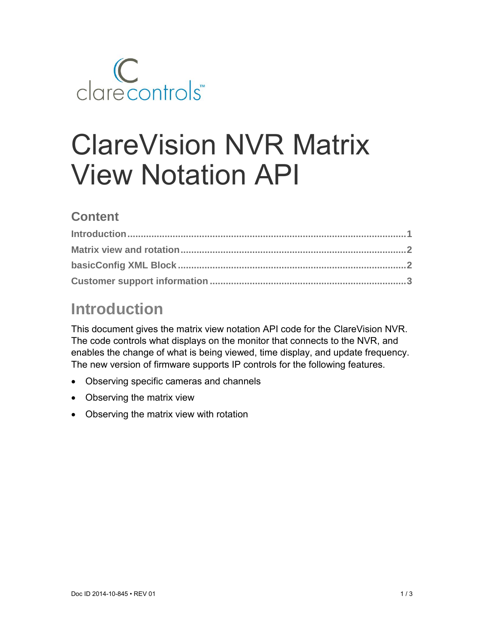

# ClareVision NVR Matrix View Notation API

#### **Content**

## **Introduction**

This document gives the matrix view notation API code for the ClareVision NVR. The code controls what displays on the monitor that connects to the NVR, and enables the change of what is being viewed, time display, and update frequency. The new version of firmware supports IP controls for the following features.

- Observing specific cameras and channels
- Observing the matrix view
- Observing the matrix view with rotation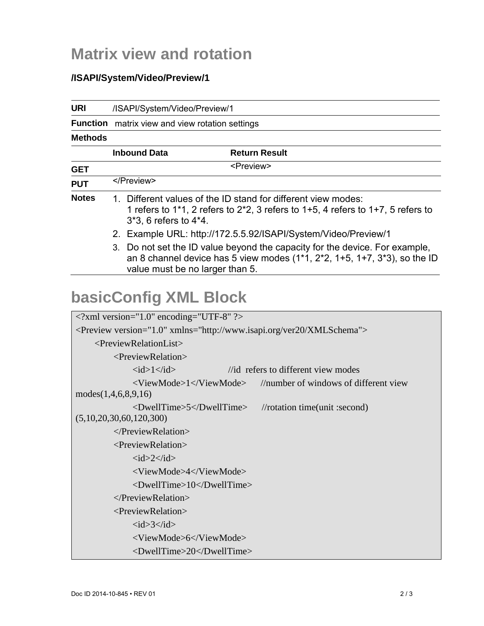### **Matrix view and rotation**

#### **/ISAPI/System/Video/Preview/1**

| <b>URI</b>                                                                           | /ISAPI/System/Video/Preview/1                                                                                                                                                                  |                                       |  |  |
|--------------------------------------------------------------------------------------|------------------------------------------------------------------------------------------------------------------------------------------------------------------------------------------------|---------------------------------------|--|--|
|                                                                                      | Function matrix view and view rotation settings                                                                                                                                                |                                       |  |  |
| <b>Methods</b>                                                                       |                                                                                                                                                                                                |                                       |  |  |
|                                                                                      | <b>Inbound Data</b>                                                                                                                                                                            | <b>Return Result</b>                  |  |  |
| <b>GET</b>                                                                           | <preview></preview>                                                                                                                                                                            |                                       |  |  |
| <b>PUT</b>                                                                           |                                                                                                                                                                                                |                                       |  |  |
| <b>Notes</b>                                                                         | 1. Different values of the ID stand for different view modes:<br>1 refers to 1*1, 2 refers to $2*2$ , 3 refers to 1+5, 4 refers to 1+7, 5 refers to<br>3*3, 6 refers to 4*4.                   |                                       |  |  |
|                                                                                      | 2. Example URL: http://172.5.5.92/ISAPI/System/Video/Preview/1                                                                                                                                 |                                       |  |  |
|                                                                                      | 3. Do not set the ID value beyond the capacity for the device. For example,<br>an 8 channel device has 5 view modes $(1*1, 2*2, 1+5, 1+7, 3*3)$ , so the ID<br>value must be no larger than 5. |                                       |  |  |
| <b>basicConfig XML Block</b>                                                         |                                                                                                                                                                                                |                                       |  |  |
| $\langle$ ?xml version="1.0" encoding="UTF-8" ?>                                     |                                                                                                                                                                                                |                                       |  |  |
| <preview version="1.0" xmlns="http://www.isapi.org/ver20/XMLSchema"></preview>       |                                                                                                                                                                                                |                                       |  |  |
| <previewrelationlist></previewrelationlist>                                          |                                                                                                                                                                                                |                                       |  |  |
|                                                                                      | <previewrelation></previewrelation>                                                                                                                                                            |                                       |  |  |
|                                                                                      | $\langle id \rangle$ = $\langle id \rangle$<br>//id refers to different view modes                                                                                                             |                                       |  |  |
|                                                                                      | <viewmode>1</viewmode>                                                                                                                                                                         | //number of windows of different view |  |  |
| modes (1, 4, 6, 8, 9, 16)                                                            |                                                                                                                                                                                                |                                       |  |  |
| <dwelltime>5</dwelltime><br>//rotation time(unit :second)<br>(5,10,20,30,60,120,300) |                                                                                                                                                                                                |                                       |  |  |
| $\langle$ PreviewRelation>                                                           |                                                                                                                                                                                                |                                       |  |  |
| <previewrelation></previewrelation>                                                  |                                                                                                                                                                                                |                                       |  |  |
| $\langle id \rangle$ 2 $\langle id \rangle$                                          |                                                                                                                                                                                                |                                       |  |  |
|                                                                                      | <viewmode>4</viewmode>                                                                                                                                                                         |                                       |  |  |
|                                                                                      | <dwelltime>10</dwelltime>                                                                                                                                                                      |                                       |  |  |
| $\langle$ PreviewRelation>                                                           |                                                                                                                                                                                                |                                       |  |  |
| <previewrelation></previewrelation>                                                  |                                                                                                                                                                                                |                                       |  |  |
|                                                                                      | $\langle id \rangle$ 3 $\langle id \rangle$                                                                                                                                                    |                                       |  |  |
|                                                                                      | <viewmode>6</viewmode>                                                                                                                                                                         |                                       |  |  |
|                                                                                      | <dwelltime>20</dwelltime>                                                                                                                                                                      |                                       |  |  |